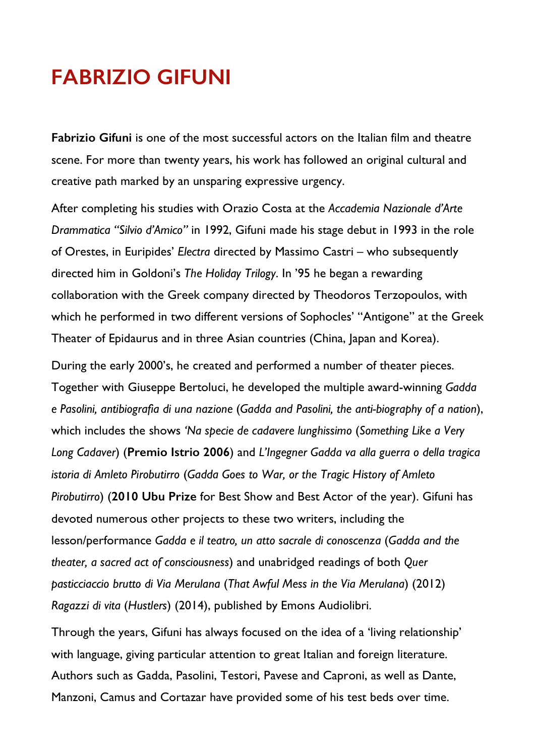## **FABRIZIO GIFUNI**

**Fabrizio Gifuni** is one of the most successful actors on the Italian film and theatre scene. For more than twenty years, his work has followed an original cultural and creative path marked by an unsparing expressive urgency.

After completing his studies with Orazio Costa at the *Accademia Nazionale d'Arte Drammatica "Silvio d'Amico"* in 1992, Gifuni made his stage debut in 1993 in the role of Orestes, in Euripides' *Electra* directed by Massimo Castri – who subsequently directed him in Goldoni's *The Holiday Trilogy*. In '95 he began a rewarding collaboration with the Greek company directed by Theodoros Terzopoulos, with which he performed in two different versions of Sophocles' "Antigone" at the Greek Theater of Epidaurus and in three Asian countries (China, Japan and Korea).

During the early 2000's, he created and performed a number of theater pieces. Together with Giuseppe Bertoluci, he developed the multiple award-winning *Gadda e Pasolini, antibiografia di una nazione* (*Gadda and Pasolini, the anti-biography of a nation*), which includes the shows *'Na specie de cadavere lunghissimo* (*Something Like a Very Long Cadaver*) (**Premio Istrio 2006**) and *L'Ingegner Gadda va alla guerra o della tragica istoria di Amleto Pirobutirro* (*Gadda Goes to War, or the Tragic History of Amleto Pirobutirro*) (**2010 Ubu Prize** for Best Show and Best Actor of the year). Gifuni has devoted numerous other projects to these two writers, including the lesson/performance *Gadda e il teatro, un atto sacrale di conoscenza* (*Gadda and the theater, a sacred act of consciousness*) and unabridged readings of both *Quer pasticciaccio brutto di Via Merulana* (*That Awful Mess in the Via Merulana*) (2012) *Ragazzi di vita* (*Hustlers*) (2014), published by Emons Audiolibri.

Through the years, Gifuni has always focused on the idea of a 'living relationship' with language, giving particular attention to great Italian and foreign literature. Authors such as Gadda, Pasolini, Testori, Pavese and Caproni, as well as Dante, Manzoni, Camus and Cortazar have provided some of his test beds over time.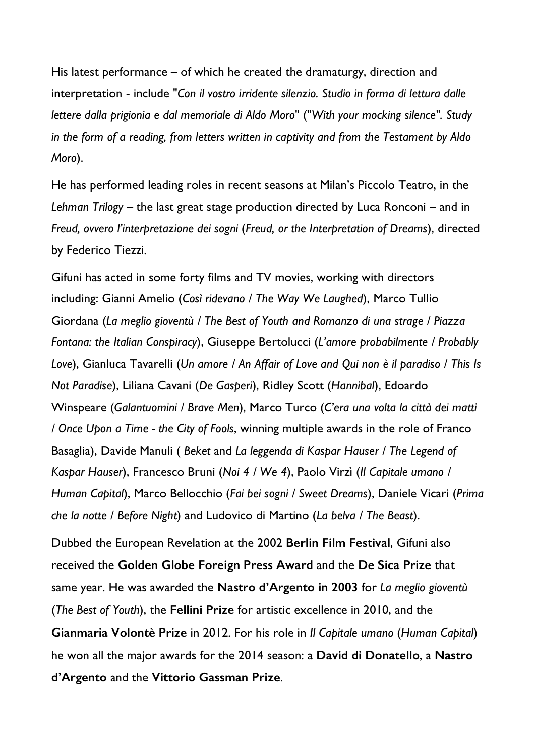His latest performance – of which he created the dramaturgy, direction and interpretation - include "*Con il vostro irridente silenzio. Studio in forma di lettura dalle lettere dalla prigionia e dal memoriale di Aldo Moro*" ("*With your mocking silence". Study in the form of a reading, from letters written in captivity and from the Testament by Aldo Moro*).

He has performed leading roles in recent seasons at Milan's Piccolo Teatro, in the *Lehman Trilogy* – the last great stage production directed by Luca Ronconi – and in *Freud, ovvero l'interpretazione dei sogni* (*Freud, or the Interpretation of Dreams*), directed by Federico Tiezzi.

Gifuni has acted in some forty films and TV movies, working with directors including: Gianni Amelio (*Così ridevano / The Way We Laughed*), Marco Tullio Giordana (*La meglio gioventù / The Best of Youth and Romanzo di una strage / Piazza Fontana: the Italian Conspiracy*), Giuseppe Bertolucci (*L'amore probabilmente / Probably Love*), Gianluca Tavarelli (*Un amore / An Affair of Love and Qui non è il paradiso / This Is Not Paradise*), Liliana Cavani (*De Gasperi*), Ridley Scott (*Hannibal*), Edoardo Winspeare (*Galantuomini / Brave Men*), Marco Turco (*C'era una volta la città dei matti / Once Upon a Time - the City of Fools*, winning multiple awards in the role of Franco Basaglia), Davide Manuli ( *Beket* and *La leggenda di Kaspar Hauser / The Legend of Kaspar Hauser*), Francesco Bruni (*Noi 4 / We 4*), Paolo Virzì (*Il Capitale umano / Human Capital*), Marco Bellocchio (*Fai bei sogni / Sweet Dreams*), Daniele Vicari (*Prima che la notte / Before Night*) and Ludovico di Martino (*La belva / The Beast*).

Dubbed the European Revelation at the 2002 **Berlin Film Festival**, Gifuni also received the **Golden Globe Foreign Press Award** and the **De Sica Prize** that same year. He was awarded the **Nastro d'Argento in 2003** for *La meglio gioventù* (*The Best of Youth*), the **Fellini Prize** for artistic excellence in 2010, and the **Gianmaria Volontè Prize** in 2012. For his role in *Il Capitale umano* (*Human Capital*) he won all the major awards for the 2014 season: a **David di Donatello**, a **Nastro d'Argento** and the **Vittorio Gassman Prize**.